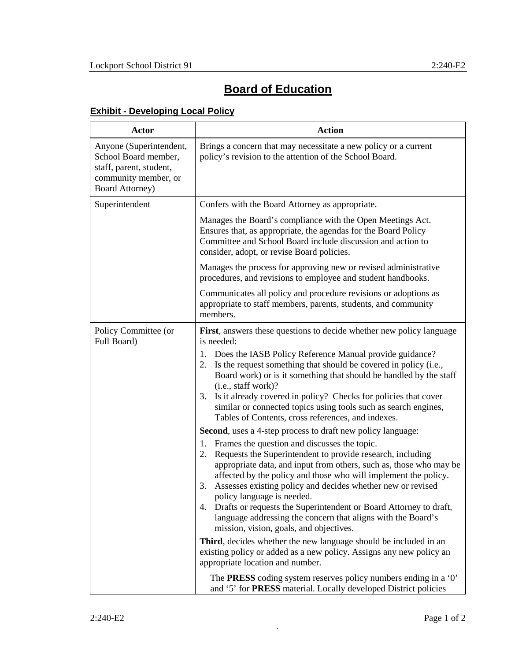## **Board of Education**

## **Exhibit - Developing Local Policy**

| <b>Actor</b>                                                                                                                 | <b>Action</b>                                                                                                                                                                                                                                                                                                                                                                                                                                                                                                                                                                                                                                                                                                                                                                                                                                                                                                                                                                                                                                                                                                                                                                                                                                                                                                                                                                                                            |
|------------------------------------------------------------------------------------------------------------------------------|--------------------------------------------------------------------------------------------------------------------------------------------------------------------------------------------------------------------------------------------------------------------------------------------------------------------------------------------------------------------------------------------------------------------------------------------------------------------------------------------------------------------------------------------------------------------------------------------------------------------------------------------------------------------------------------------------------------------------------------------------------------------------------------------------------------------------------------------------------------------------------------------------------------------------------------------------------------------------------------------------------------------------------------------------------------------------------------------------------------------------------------------------------------------------------------------------------------------------------------------------------------------------------------------------------------------------------------------------------------------------------------------------------------------------|
| Anyone (Superintendent,<br>School Board member,<br>staff, parent, student,<br>community member, or<br><b>Board Attorney)</b> | Brings a concern that may necessitate a new policy or a current<br>policy's revision to the attention of the School Board.                                                                                                                                                                                                                                                                                                                                                                                                                                                                                                                                                                                                                                                                                                                                                                                                                                                                                                                                                                                                                                                                                                                                                                                                                                                                                               |
| Superintendent                                                                                                               | Confers with the Board Attorney as appropriate.                                                                                                                                                                                                                                                                                                                                                                                                                                                                                                                                                                                                                                                                                                                                                                                                                                                                                                                                                                                                                                                                                                                                                                                                                                                                                                                                                                          |
|                                                                                                                              | Manages the Board's compliance with the Open Meetings Act.<br>Ensures that, as appropriate, the agendas for the Board Policy<br>Committee and School Board include discussion and action to<br>consider, adopt, or revise Board policies.                                                                                                                                                                                                                                                                                                                                                                                                                                                                                                                                                                                                                                                                                                                                                                                                                                                                                                                                                                                                                                                                                                                                                                                |
|                                                                                                                              | Manages the process for approving new or revised administrative<br>procedures, and revisions to employee and student handbooks.                                                                                                                                                                                                                                                                                                                                                                                                                                                                                                                                                                                                                                                                                                                                                                                                                                                                                                                                                                                                                                                                                                                                                                                                                                                                                          |
|                                                                                                                              | Communicates all policy and procedure revisions or adoptions as<br>appropriate to staff members, parents, students, and community<br>members.                                                                                                                                                                                                                                                                                                                                                                                                                                                                                                                                                                                                                                                                                                                                                                                                                                                                                                                                                                                                                                                                                                                                                                                                                                                                            |
| Policy Committee (or<br>Full Board)                                                                                          | First, answers these questions to decide whether new policy language<br>is needed:<br>Does the IASB Policy Reference Manual provide guidance?<br>1.<br>Is the request something that should be covered in policy (i.e.,<br>2.<br>Board work) or is it something that should be handled by the staff<br>(i.e., staff work)?<br>Is it already covered in policy? Checks for policies that cover<br>3.<br>similar or connected topics using tools such as search engines,<br>Tables of Contents, cross references, and indexes.<br><b>Second</b> , uses a 4-step process to draft new policy language:<br>Frames the question and discusses the topic.<br>1.<br>Requests the Superintendent to provide research, including<br>2.<br>appropriate data, and input from others, such as, those who may be<br>affected by the policy and those who will implement the policy.<br>Assesses existing policy and decides whether new or revised<br>3.<br>policy language is needed.<br>Drafts or requests the Superintendent or Board Attorney to draft,<br>4.<br>language addressing the concern that aligns with the Board's<br>mission, vision, goals, and objectives.<br>Third, decides whether the new language should be included in an<br>existing policy or added as a new policy. Assigns any new policy an<br>appropriate location and number.<br>The <b>PRESS</b> coding system reserves policy numbers ending in a '0' |
|                                                                                                                              | and '5' for PRESS material. Locally developed District policies                                                                                                                                                                                                                                                                                                                                                                                                                                                                                                                                                                                                                                                                                                                                                                                                                                                                                                                                                                                                                                                                                                                                                                                                                                                                                                                                                          |

.